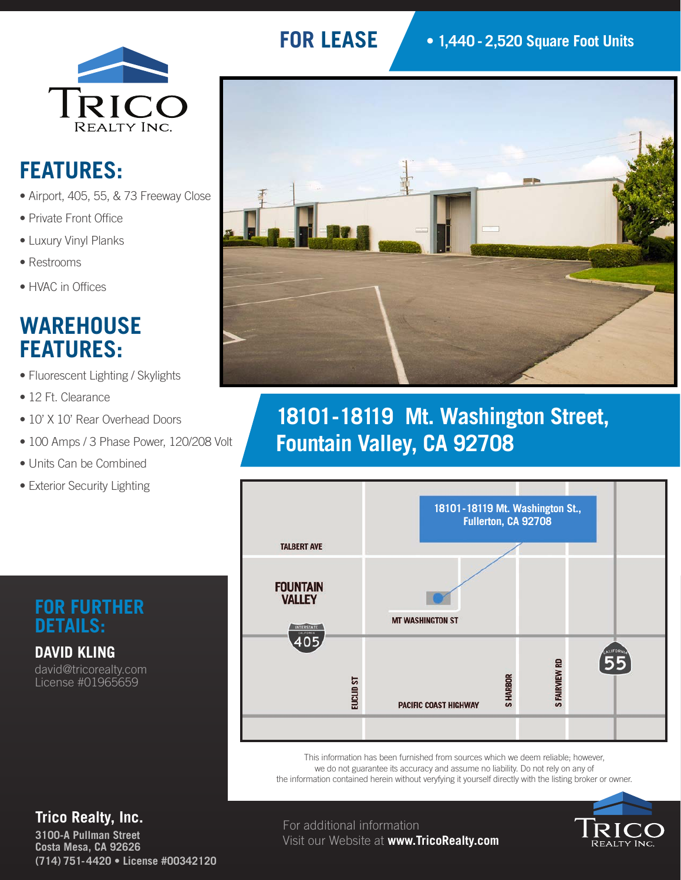

# **FEATURES:**

- Airport, 405, 55, & 73 Freeway Close
- Private Front Office
- Luxury Vinyl Planks
- Restrooms
- HVAC in Offices

#### **WAREHOUSE FEATURES:**

- Fluorescent Lighting / Skylights
- 12 Ft. Clearance
- 10' X 10' Rear Overhead Doors
- 100 Amps / 3 Phase Power, 120/208 Volt
- Units Can be Combined
- Exterior Security Lighting

#### **FOR FURTHER DETAILS:**

**DAVID KLING** david@tricorealty.com License #01965659

## **FOR LEASE**



# **18101 - 18119 Mt. Washington Street, Fountain Valley, CA 92708**



This information has been furnished from sources which we deem reliable; however, we do not guarantee its accuracy and assume no liability. Do not rely on any of the information contained herein without veryfying it yourself directly with the listing broker or owner.



#### **Trico Realty, Inc.**

**3100-A Pullman Street Costa Mesa, CA 92626 (714) 751-4420 • License #00342120**

For additional information Visit our Website at **www.TricoRealty.com**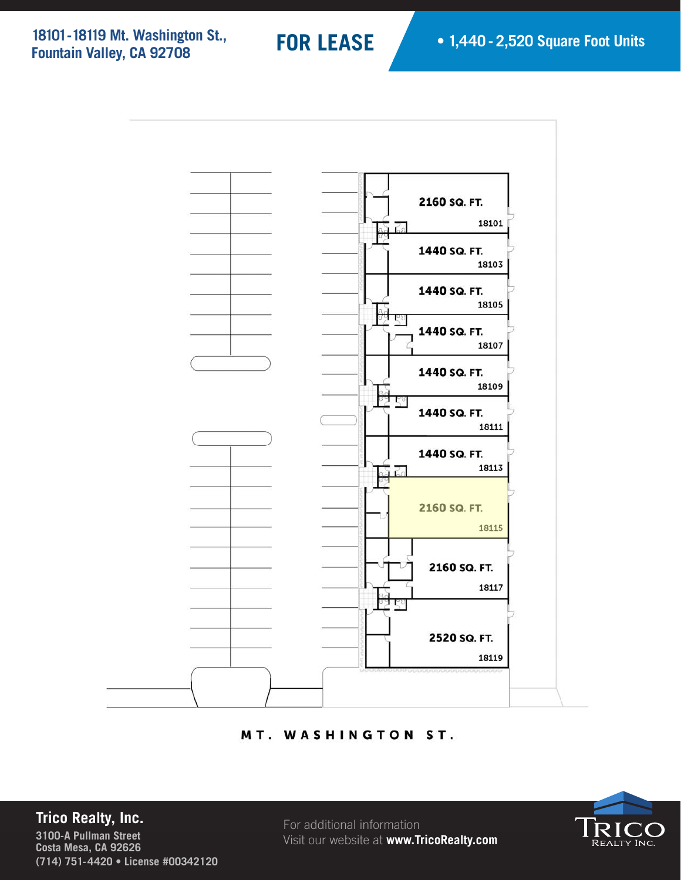**18101 - 18119 Mt. Washington St., Fountain Valley, CA 92708**



#### MT. WASHINGTON ST.

#### **Trico Realty, Inc.**

**3100-A Pullman Street Costa Mesa, CA 92626 (714) 751-4420 • License #00342120**

For additional information Visit our website at **www.TricoRealty.com**